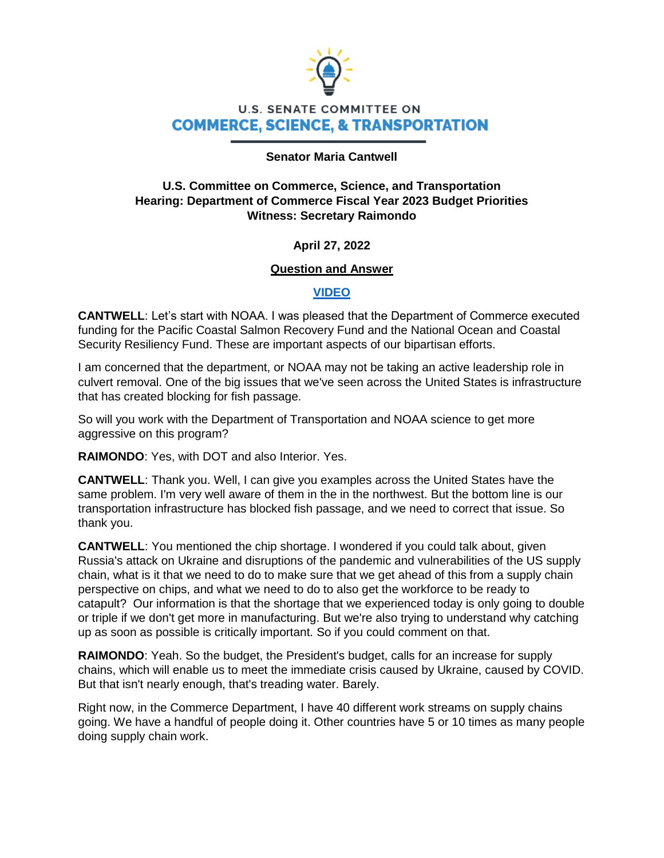

# **U.S. SENATE COMMITTEE ON COMMERCE, SCIENCE, & TRANSPORTATION**

#### **Senator Maria Cantwell**

### **U.S. Committee on Commerce, Science, and Transportation Hearing: Department of Commerce Fiscal Year 2023 Budget Priorities Witness: Secretary Raimondo**

### **April 27, 2022**

### **Question and Answer**

### **[VIDEO](https://www.youtube.com/watch?v=xPLJgGgpdmQ)**

**CANTWELL**: Let's start with NOAA. I was pleased that the Department of Commerce executed funding for the Pacific Coastal Salmon Recovery Fund and the National Ocean and Coastal Security Resiliency Fund. These are important aspects of our bipartisan efforts.

I am concerned that the department, or NOAA may not be taking an active leadership role in culvert removal. One of the big issues that we've seen across the United States is infrastructure that has created blocking for fish passage.

So will you work with the Department of Transportation and NOAA science to get more aggressive on this program?

**RAIMONDO**: Yes, with DOT and also Interior. Yes.

**CANTWELL**: Thank you. Well, I can give you examples across the United States have the same problem. I'm very well aware of them in the in the northwest. But the bottom line is our transportation infrastructure has blocked fish passage, and we need to correct that issue. So thank you.

**CANTWELL**: You mentioned the chip shortage. I wondered if you could talk about, given Russia's attack on Ukraine and disruptions of the pandemic and vulnerabilities of the US supply chain, what is it that we need to do to make sure that we get ahead of this from a supply chain perspective on chips, and what we need to do to also get the workforce to be ready to catapult? Our information is that the shortage that we experienced today is only going to double or triple if we don't get more in manufacturing. But we're also trying to understand why catching up as soon as possible is critically important. So if you could comment on that.

**RAIMONDO**: Yeah. So the budget, the President's budget, calls for an increase for supply chains, which will enable us to meet the immediate crisis caused by Ukraine, caused by COVID. But that isn't nearly enough, that's treading water. Barely.

Right now, in the Commerce Department, I have 40 different work streams on supply chains going. We have a handful of people doing it. Other countries have 5 or 10 times as many people doing supply chain work.